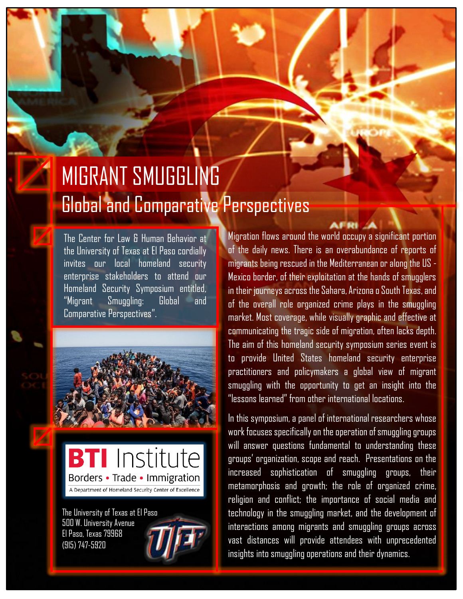### MIGRANT SMUGGLING Global and Comparative Perspectives

The Center for Law & Human Behavior at the University of Texas at El Paso cordially invites our local homeland security enterprise stakeholders to attend our Homeland Security Symposium entitled, "Migrant Smuggling: Global and Comparative Perspectives".





The University of Texas at El Paso 500 W. University Avenue El Paso, Texas 79968 (915) 747-5920



Migration flows around the world occupy a significant portion of the daily news. There is an overabundance of reports of migrants being rescued in the Mediterranean or along the US - Mexico border, of their exploitation at the hands of smugglers in their journeys across the Sahara, Arizona o South Texas, and of the overall role organized crime plays in the smuggling market. Most coverage, while visually graphic and effective at communicating the tragic side of migration, often lacks depth. The aim of this homeland security symposium series event is to provide United States homeland security enterprise practitioners and policymakers a global view of migrant smuggling with the opportunity to get an insight into the "lessons learned" from other international locations.

In this symposium, a panel of international researchers whose work focuses specifically on the operation of smuggling groups will answer questions fundamental to understanding these groups' organization, scope and reach. Presentations on the increased sophistication of smuggling groups, their metamorphosis and growth; the role of organized crime, religion and conflict; the importance of social media and technology in the smuggling market, and the development of interactions among migrants and smuggling groups across vast distances will provide attendees with unprecedented insights into smuggling operations and their dynamics.